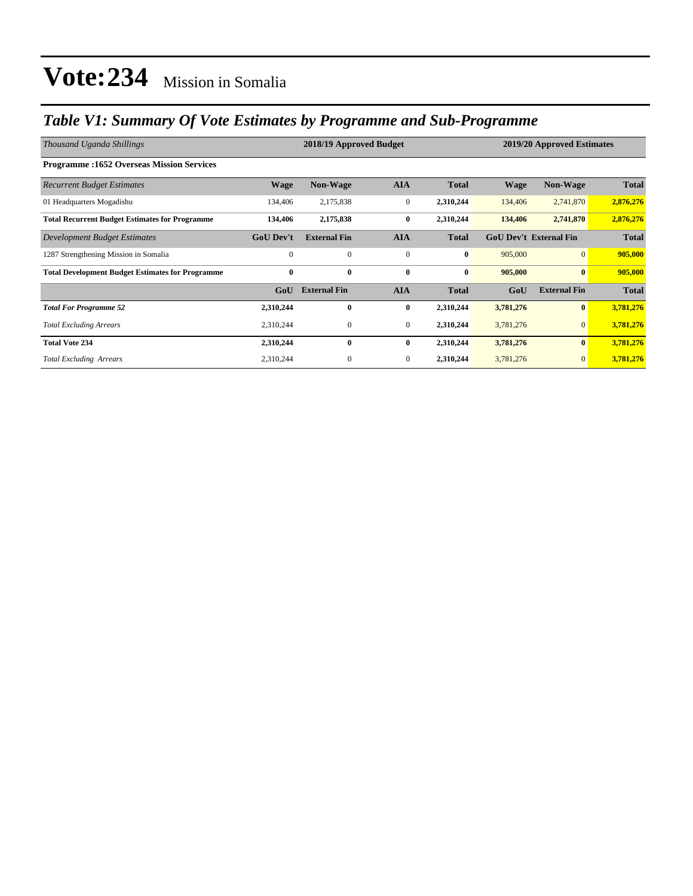## *Table V1: Summary Of Vote Estimates by Programme and Sub-Programme*

| Thousand Uganda Shillings                               | 2018/19 Approved Budget |                     |                  |              |             | 2019/20 Approved Estimates    |              |  |
|---------------------------------------------------------|-------------------------|---------------------|------------------|--------------|-------------|-------------------------------|--------------|--|
| <b>Programme:1652 Overseas Mission Services</b>         |                         |                     |                  |              |             |                               |              |  |
| <b>Recurrent Budget Estimates</b>                       | <b>Wage</b>             | <b>Non-Wage</b>     | <b>AIA</b>       | <b>Total</b> | <b>Wage</b> | <b>Non-Wage</b>               | <b>Total</b> |  |
| 01 Headquarters Mogadishu                               | 134,406                 | 2,175,838           | $\boldsymbol{0}$ | 2,310,244    | 134,406     | 2,741,870                     | 2,876,276    |  |
| <b>Total Recurrent Budget Estimates for Programme</b>   | 134,406                 | 2,175,838           | $\bf{0}$         | 2,310,244    | 134,406     | 2,741,870                     | 2,876,276    |  |
| Development Budget Estimates                            | <b>GoU Dev't</b>        | <b>External Fin</b> | <b>AIA</b>       | <b>Total</b> |             | <b>GoU Dev't External Fin</b> |              |  |
| 1287 Strengthening Mission in Somalia                   | $\mathbf{0}$            | $\mathbf{0}$        | $\mathbf{0}$     | $\bf{0}$     | 905,000     | $\overline{0}$                | 905,000      |  |
| <b>Total Development Budget Estimates for Programme</b> | $\bf{0}$                | $\bf{0}$            | $\bf{0}$         | $\bf{0}$     | 905,000     | $\mathbf{0}$                  | 905,000      |  |
|                                                         | GoU                     | <b>External Fin</b> | <b>AIA</b>       | <b>Total</b> | GoU         | <b>External Fin</b>           | <b>Total</b> |  |
| <b>Total For Programme 52</b>                           | 2,310,244               | $\bf{0}$            | $\bf{0}$         | 2,310,244    | 3,781,276   | $\bf{0}$                      | 3,781,276    |  |
| <b>Total Excluding Arrears</b>                          | 2,310,244               | $\mathbf{0}$        | $\mathbf{0}$     | 2,310,244    | 3,781,276   | $\mathbf{0}$                  | 3,781,276    |  |
| <b>Total Vote 234</b>                                   | 2,310,244               | $\bf{0}$            | $\bf{0}$         | 2,310,244    | 3,781,276   | $\bf{0}$                      | 3,781,276    |  |
| <b>Total Excluding Arrears</b>                          | 2,310,244               | $\boldsymbol{0}$    | $\mathbf{0}$     | 2,310,244    | 3,781,276   | $\mathbf{0}$                  | 3,781,276    |  |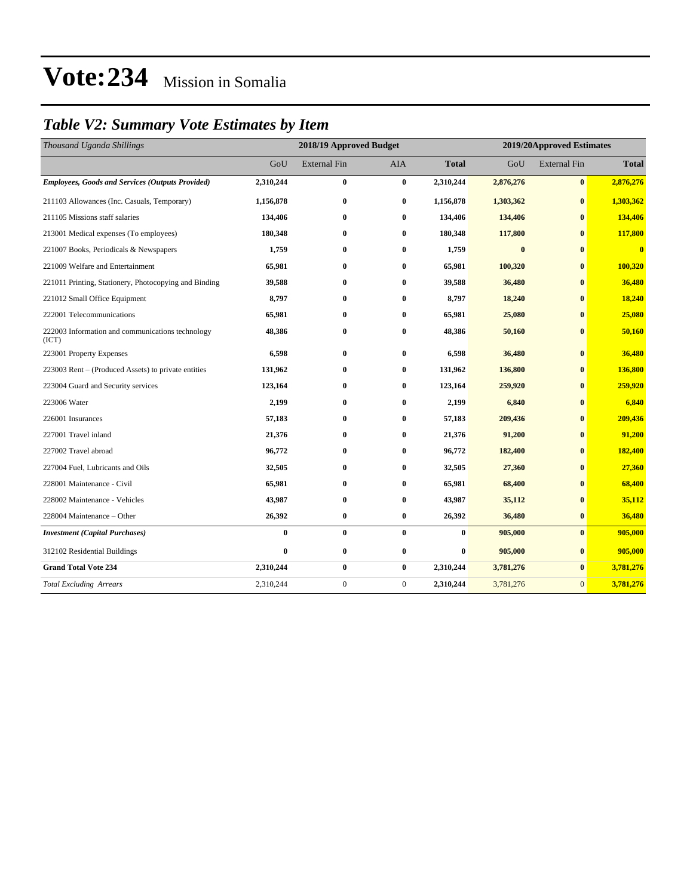## *Table V2: Summary Vote Estimates by Item*

| Thousand Uganda Shillings                                 |           | 2018/19 Approved Budget<br>2019/20Approved Estimates |                  |              |           |                     |                         |
|-----------------------------------------------------------|-----------|------------------------------------------------------|------------------|--------------|-----------|---------------------|-------------------------|
|                                                           | GoU       | <b>External Fin</b>                                  | <b>AIA</b>       | <b>Total</b> | GoU       | <b>External Fin</b> | <b>Total</b>            |
| Employees, Goods and Services (Outputs Provided)          | 2,310,244 | $\bf{0}$                                             | $\bf{0}$         | 2,310,244    | 2,876,276 | $\bf{0}$            | 2,876,276               |
| 211103 Allowances (Inc. Casuals, Temporary)               | 1,156,878 | $\bf{0}$                                             | $\bf{0}$         | 1,156,878    | 1,303,362 | $\bf{0}$            | 1,303,362               |
| 211105 Missions staff salaries                            | 134,406   | $\bf{0}$                                             | $\bf{0}$         | 134,406      | 134,406   | $\bf{0}$            | 134,406                 |
| 213001 Medical expenses (To employees)                    | 180,348   | $\bf{0}$                                             | $\bf{0}$         | 180,348      | 117,800   | $\bf{0}$            | 117,800                 |
| 221007 Books, Periodicals & Newspapers                    | 1,759     | $\bf{0}$                                             | $\bf{0}$         | 1,759        | $\bf{0}$  | $\bf{0}$            | $\overline{\mathbf{0}}$ |
| 221009 Welfare and Entertainment                          | 65,981    | $\bf{0}$                                             | $\bf{0}$         | 65,981       | 100,320   | $\bf{0}$            | 100,320                 |
| 221011 Printing, Stationery, Photocopying and Binding     | 39,588    | $\bf{0}$                                             | $\bf{0}$         | 39,588       | 36,480    | $\mathbf{0}$        | 36,480                  |
| 221012 Small Office Equipment                             | 8,797     | $\bf{0}$                                             | $\bf{0}$         | 8,797        | 18,240    | $\bf{0}$            | 18,240                  |
| 222001 Telecommunications                                 | 65,981    | $\bf{0}$                                             | $\bf{0}$         | 65,981       | 25,080    | $\mathbf{0}$        | 25,080                  |
| 222003 Information and communications technology<br>(ICT) | 48,386    | $\bf{0}$                                             | $\bf{0}$         | 48,386       | 50,160    | $\bf{0}$            | 50,160                  |
| 223001 Property Expenses                                  | 6,598     | $\bf{0}$                                             | $\bf{0}$         | 6,598        | 36,480    | $\bf{0}$            | 36,480                  |
| 223003 Rent – (Produced Assets) to private entities       | 131,962   | $\bf{0}$                                             | $\bf{0}$         | 131,962      | 136,800   | $\bf{0}$            | 136,800                 |
| 223004 Guard and Security services                        | 123,164   | $\bf{0}$                                             | $\bf{0}$         | 123,164      | 259,920   | $\bf{0}$            | 259,920                 |
| 223006 Water                                              | 2,199     | $\bf{0}$                                             | $\bf{0}$         | 2,199        | 6,840     | $\bf{0}$            | 6,840                   |
| 226001 Insurances                                         | 57,183    | $\bf{0}$                                             | $\bf{0}$         | 57,183       | 209,436   | $\bf{0}$            | 209,436                 |
| 227001 Travel inland                                      | 21,376    | $\bf{0}$                                             | $\bf{0}$         | 21,376       | 91,200    | $\bf{0}$            | 91,200                  |
| 227002 Travel abroad                                      | 96,772    | $\bf{0}$                                             | $\bf{0}$         | 96,772       | 182,400   | $\bf{0}$            | 182,400                 |
| 227004 Fuel, Lubricants and Oils                          | 32,505    | $\bf{0}$                                             | $\bf{0}$         | 32,505       | 27,360    | $\bf{0}$            | 27,360                  |
| 228001 Maintenance - Civil                                | 65,981    | $\bf{0}$                                             | $\bf{0}$         | 65,981       | 68,400    | $\mathbf{0}$        | 68,400                  |
| 228002 Maintenance - Vehicles                             | 43,987    | $\bf{0}$                                             | $\bf{0}$         | 43,987       | 35,112    | $\bf{0}$            | 35,112                  |
| 228004 Maintenance - Other                                | 26,392    | $\bf{0}$                                             | $\bf{0}$         | 26,392       | 36,480    | $\bf{0}$            | 36,480                  |
| <b>Investment</b> (Capital Purchases)                     | $\bf{0}$  | $\bf{0}$                                             | $\bf{0}$         | $\bf{0}$     | 905,000   | $\bf{0}$            | 905,000                 |
| 312102 Residential Buildings                              | $\bf{0}$  | $\bf{0}$                                             | $\bf{0}$         | $\bf{0}$     | 905,000   | $\bf{0}$            | 905,000                 |
| <b>Grand Total Vote 234</b>                               | 2,310,244 | $\bf{0}$                                             | $\bf{0}$         | 2,310,244    | 3,781,276 | $\bf{0}$            | 3,781,276               |
| <b>Total Excluding Arrears</b>                            | 2,310,244 | $\boldsymbol{0}$                                     | $\boldsymbol{0}$ | 2,310,244    | 3,781,276 | $\overline{0}$      | 3,781,276               |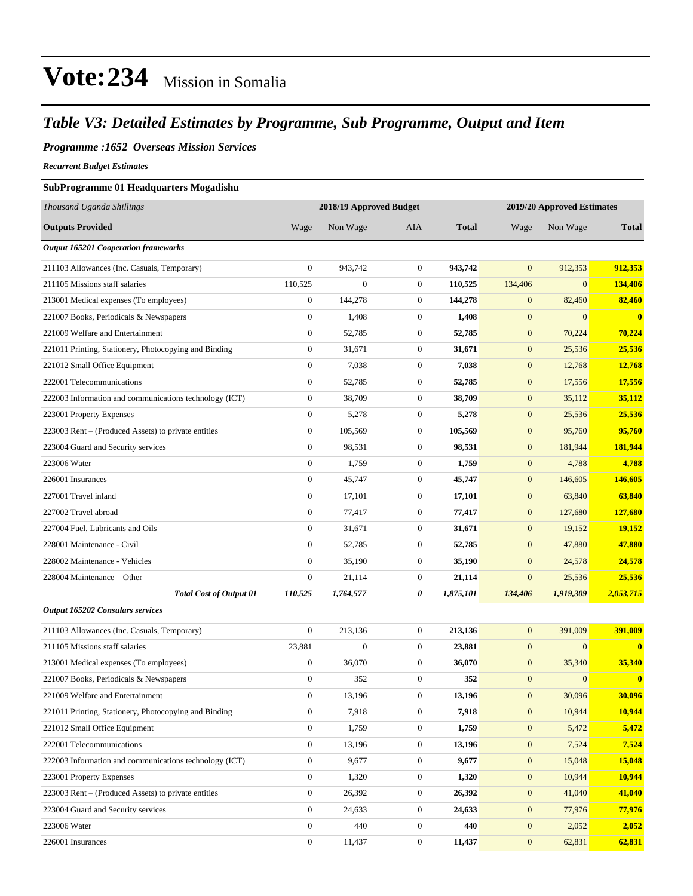### *Table V3: Detailed Estimates by Programme, Sub Programme, Output and Item*

#### *Programme :1652 Overseas Mission Services*

*Recurrent Budget Estimates*

#### **SubProgramme 01 Headquarters Mogadishu**

| Thousand Uganda Shillings                              |                  | 2018/19 Approved Budget |                  |              | 2019/20 Approved Estimates |              |              |
|--------------------------------------------------------|------------------|-------------------------|------------------|--------------|----------------------------|--------------|--------------|
| <b>Outputs Provided</b>                                | Wage             | Non Wage                | AIA              | <b>Total</b> | Wage                       | Non Wage     | <b>Total</b> |
| <b>Output 165201 Cooperation frameworks</b>            |                  |                         |                  |              |                            |              |              |
| 211103 Allowances (Inc. Casuals, Temporary)            | $\boldsymbol{0}$ | 943,742                 | $\boldsymbol{0}$ | 943,742      | $\boldsymbol{0}$           | 912,353      | 912,353      |
| 211105 Missions staff salaries                         | 110,525          | $\boldsymbol{0}$        | $\boldsymbol{0}$ | 110,525      | 134,406                    | $\mathbf{0}$ | 134,406      |
| 213001 Medical expenses (To employees)                 | $\boldsymbol{0}$ | 144,278                 | $\boldsymbol{0}$ | 144,278      | $\boldsymbol{0}$           | 82,460       | 82,460       |
| 221007 Books, Periodicals & Newspapers                 | $\boldsymbol{0}$ | 1,408                   | $\boldsymbol{0}$ | 1,408        | $\boldsymbol{0}$           | $\mathbf{0}$ | $\mathbf{0}$ |
| 221009 Welfare and Entertainment                       | $\boldsymbol{0}$ | 52,785                  | $\boldsymbol{0}$ | 52,785       | $\boldsymbol{0}$           | 70,224       | 70,224       |
| 221011 Printing, Stationery, Photocopying and Binding  | $\boldsymbol{0}$ | 31,671                  | $\boldsymbol{0}$ | 31,671       | $\boldsymbol{0}$           | 25,536       | 25,536       |
| 221012 Small Office Equipment                          | $\boldsymbol{0}$ | 7,038                   | $\boldsymbol{0}$ | 7,038        | $\boldsymbol{0}$           | 12,768       | 12,768       |
| 222001 Telecommunications                              | $\boldsymbol{0}$ | 52,785                  | $\boldsymbol{0}$ | 52,785       | $\mathbf{0}$               | 17,556       | 17,556       |
| 222003 Information and communications technology (ICT) | $\boldsymbol{0}$ | 38,709                  | $\boldsymbol{0}$ | 38,709       | $\boldsymbol{0}$           | 35,112       | 35,112       |
| 223001 Property Expenses                               | $\boldsymbol{0}$ | 5,278                   | $\boldsymbol{0}$ | 5,278        | $\boldsymbol{0}$           | 25,536       | 25,536       |
| 223003 Rent – (Produced Assets) to private entities    | $\boldsymbol{0}$ | 105,569                 | $\boldsymbol{0}$ | 105,569      | $\boldsymbol{0}$           | 95,760       | 95,760       |
| 223004 Guard and Security services                     | $\boldsymbol{0}$ | 98,531                  | $\boldsymbol{0}$ | 98,531       | $\boldsymbol{0}$           | 181,944      | 181,944      |
| 223006 Water                                           | $\boldsymbol{0}$ | 1,759                   | $\boldsymbol{0}$ | 1,759        | $\boldsymbol{0}$           | 4,788        | 4,788        |
| 226001 Insurances                                      | $\boldsymbol{0}$ | 45,747                  | $\boldsymbol{0}$ | 45,747       | $\mathbf{0}$               | 146,605      | 146,605      |
| 227001 Travel inland                                   | $\boldsymbol{0}$ | 17,101                  | $\boldsymbol{0}$ | 17,101       | $\boldsymbol{0}$           | 63,840       | 63,840       |
| 227002 Travel abroad                                   | $\boldsymbol{0}$ | 77,417                  | $\boldsymbol{0}$ | 77,417       | $\boldsymbol{0}$           | 127,680      | 127,680      |
| 227004 Fuel, Lubricants and Oils                       | $\boldsymbol{0}$ | 31,671                  | $\boldsymbol{0}$ | 31,671       | $\boldsymbol{0}$           | 19,152       | 19,152       |
| 228001 Maintenance - Civil                             | $\boldsymbol{0}$ | 52,785                  | $\boldsymbol{0}$ | 52,785       | $\boldsymbol{0}$           | 47,880       | 47,880       |
| 228002 Maintenance - Vehicles                          | $\boldsymbol{0}$ | 35,190                  | $\boldsymbol{0}$ | 35,190       | $\mathbf{0}$               | 24,578       | 24,578       |
| 228004 Maintenance - Other                             | $\boldsymbol{0}$ | 21,114                  | $\boldsymbol{0}$ | 21,114       | $\boldsymbol{0}$           | 25,536       | 25,536       |
| <b>Total Cost of Output 01</b>                         | 110,525          | 1,764,577               | 0                | 1,875,101    | 134,406                    | 1,919,309    | 2,053,715    |
| <b>Output 165202 Consulars services</b>                |                  |                         |                  |              |                            |              |              |
| 211103 Allowances (Inc. Casuals, Temporary)            | $\boldsymbol{0}$ | 213,136                 | $\boldsymbol{0}$ | 213,136      | $\boldsymbol{0}$           | 391,009      | 391,009      |
| 211105 Missions staff salaries                         | 23,881           | $\boldsymbol{0}$        | $\boldsymbol{0}$ | 23,881       | $\mathbf{0}$               | $\mathbf{0}$ | $\mathbf{0}$ |
| 213001 Medical expenses (To employees)                 | $\boldsymbol{0}$ | 36,070                  | $\boldsymbol{0}$ | 36,070       | $\mathbf{0}$               | 35,340       | 35,340       |
| 221007 Books, Periodicals & Newspapers                 | $\boldsymbol{0}$ | 352                     | $\boldsymbol{0}$ | 352          | $\boldsymbol{0}$           | $\mathbf{0}$ | $\mathbf{0}$ |
| 221009 Welfare and Entertainment                       | $\boldsymbol{0}$ | 13,196                  | $\boldsymbol{0}$ | 13,196       | $\boldsymbol{0}$           | 30,096       | 30,096       |
| 221011 Printing, Stationery, Photocopying and Binding  | $\boldsymbol{0}$ | 7,918                   | $\boldsymbol{0}$ | 7,918        | $\boldsymbol{0}$           | 10,944       | 10,944       |
| 221012 Small Office Equipment                          | $\boldsymbol{0}$ | 1,759                   | $\boldsymbol{0}$ | 1,759        | $\boldsymbol{0}$           | 5,472        | 5,472        |
| 222001 Telecommunications                              | $\boldsymbol{0}$ | 13,196                  | $\boldsymbol{0}$ | 13,196       | $\mathbf{0}$               | 7,524        | 7,524        |
| 222003 Information and communications technology (ICT) | $\boldsymbol{0}$ | 9,677                   | $\boldsymbol{0}$ | 9,677        | $\mathbf{0}$               | 15,048       | 15,048       |
| 223001 Property Expenses                               | $\boldsymbol{0}$ | 1,320                   | $\boldsymbol{0}$ | 1,320        | $\mathbf{0}$               | 10,944       | 10,944       |
| 223003 Rent - (Produced Assets) to private entities    | $\boldsymbol{0}$ | 26,392                  | $\boldsymbol{0}$ | 26,392       | $\boldsymbol{0}$           | 41,040       | 41,040       |
| 223004 Guard and Security services                     | $\boldsymbol{0}$ | 24,633                  | $\boldsymbol{0}$ | 24,633       | $\mathbf{0}$               | 77,976       | 77,976       |
| 223006 Water                                           | $\boldsymbol{0}$ | 440                     | $\boldsymbol{0}$ | 440          | $\mathbf{0}$               | 2,052        | 2,052        |
| 226001 Insurances                                      | $\boldsymbol{0}$ | 11,437                  | $\boldsymbol{0}$ | 11,437       | $\mathbf{0}$               | 62,831       | 62,831       |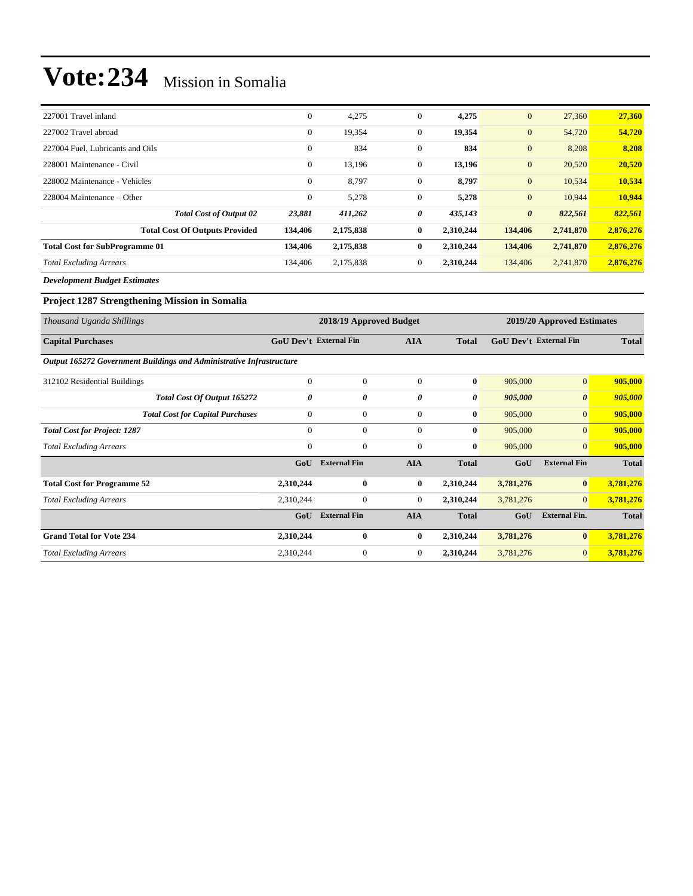| 227001 Travel inland                  | $\theta$     | 4,275     | $\mathbf{0}$     | 4,275     | $\overline{0}$        | 27,360    | 27,360    |
|---------------------------------------|--------------|-----------|------------------|-----------|-----------------------|-----------|-----------|
| 227002 Travel abroad                  | $\mathbf{0}$ | 19,354    | $\boldsymbol{0}$ | 19,354    | $\mathbf{0}$          | 54,720    | 54,720    |
| 227004 Fuel. Lubricants and Oils      | $\theta$     | 834       | $\boldsymbol{0}$ | 834       | $\overline{0}$        | 8,208     | 8,208     |
| 228001 Maintenance - Civil            | $\mathbf{0}$ | 13,196    | $\boldsymbol{0}$ | 13,196    | $\overline{0}$        | 20,520    | 20,520    |
| 228002 Maintenance - Vehicles         | $\theta$     | 8,797     | $\boldsymbol{0}$ | 8,797     | $\mathbf{0}$          | 10,534    | 10,534    |
| 228004 Maintenance – Other            | $\mathbf{0}$ | 5,278     | $\boldsymbol{0}$ | 5,278     | $\overline{0}$        | 10.944    | 10,944    |
| <b>Total Cost of Output 02</b>        | 23,881       | 411,262   | 0                | 435,143   | $\boldsymbol{\theta}$ | 822,561   | 822,561   |
| <b>Total Cost Of Outputs Provided</b> | 134,406      | 2,175,838 | $\bf{0}$         | 2,310,244 | 134,406               | 2,741,870 | 2,876,276 |
| <b>Total Cost for SubProgramme 01</b> | 134,406      | 2,175,838 | $\bf{0}$         | 2,310,244 | 134,406               | 2,741,870 | 2,876,276 |
| <b>Total Excluding Arrears</b>        | 134,406      | 2,175,838 | $\mathbf{0}$     | 2,310,244 | 134,406               | 2,741,870 | 2,876,276 |
|                                       |              |           |                  |           |                       |           |           |

*Development Budget Estimates*

#### **Project 1287 Strengthening Mission in Somalia**

| Thousand Uganda Shillings                                            |                               | 2018/19 Approved Budget |                |              | 2019/20 Approved Estimates    |                       |              |  |
|----------------------------------------------------------------------|-------------------------------|-------------------------|----------------|--------------|-------------------------------|-----------------------|--------------|--|
| <b>Capital Purchases</b>                                             | <b>GoU Dev't External Fin</b> |                         | <b>AIA</b>     |              | <b>GoU Dev't External Fin</b> |                       | <b>Total</b> |  |
| Output 165272 Government Buildings and Administrative Infrastructure |                               |                         |                |              |                               |                       |              |  |
| 312102 Residential Buildings                                         | $\mathbf{0}$                  | $\mathbf{0}$            | $\Omega$       | $\bf{0}$     | 905,000                       | $\mathbf{0}$          | 905,000      |  |
| Total Cost Of Output 165272                                          | 0                             | 0                       | 0              | 0            | 905,000                       | $\boldsymbol{\theta}$ | 905,000      |  |
| <b>Total Cost for Capital Purchases</b>                              | $\mathbf{0}$                  | $\mathbf{0}$            | $\overline{0}$ | $\bf{0}$     | 905,000                       | $\mathbf{0}$          | 905,000      |  |
| <b>Total Cost for Project: 1287</b>                                  | $\Omega$                      | $\overline{0}$          | $\mathbf{0}$   | $\bf{0}$     | 905,000                       | $\overline{0}$        | 905,000      |  |
| <b>Total Excluding Arrears</b>                                       | $\overline{0}$                | $\mathbf{0}$            | $\mathbf{0}$   | $\bf{0}$     | 905,000                       | $\overline{0}$        | 905,000      |  |
|                                                                      | GoU                           | <b>External Fin</b>     | AIA            | <b>Total</b> | GoU                           | <b>External Fin</b>   | <b>Total</b> |  |
| <b>Total Cost for Programme 52</b>                                   | 2,310,244                     | $\bf{0}$                | $\bf{0}$       | 2,310,244    | 3,781,276                     | $\bf{0}$              | 3,781,276    |  |
| <b>Total Excluding Arrears</b>                                       | 2,310,244                     | $\mathbf{0}$            | $\overline{0}$ | 2,310,244    | 3,781,276                     | $\overline{0}$        | 3,781,276    |  |
|                                                                      | GoU                           | <b>External Fin</b>     | <b>AIA</b>     | <b>Total</b> | GoU                           | <b>External Fin.</b>  | <b>Total</b> |  |
| <b>Grand Total for Vote 234</b>                                      | 2,310,244                     | $\bf{0}$                | $\mathbf{0}$   | 2,310,244    | 3,781,276                     | $\bf{0}$              | 3,781,276    |  |
| <b>Total Excluding Arrears</b>                                       | 2,310,244                     | $\boldsymbol{0}$        | $\overline{0}$ | 2,310,244    | 3,781,276                     | $\mathbf{0}$          | 3,781,276    |  |